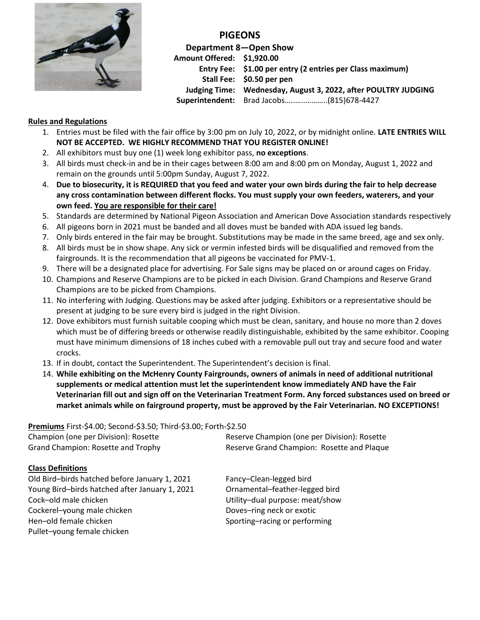

**PIGEONS**

**Department 8—Open Show Amount Offered: \$1,920.00 Entry Fee: \$1.00 per entry (2 entries per Class maximum) Stall Fee: \$0.50 per pen Judging Time: Wednesday, August 3, 2022, after POULTRY JUDGING Superintendent:** Brad Jacobs…..…..………..(815)678-4427

## **Rules and Regulations**

- 1. Entries must be filed with the fair office by 3:00 pm on July 10, 2022, or by midnight online. **LATE ENTRIES WILL NOT BE ACCEPTED. WE HIGHLY RECOMMEND THAT YOU REGISTER ONLINE!**
- 2. All exhibitors must buy one (1) week long exhibitor pass, **no exceptions**.
- 3. All birds must check-in and be in their cages between 8:00 am and 8:00 pm on Monday, August 1, 2022 and remain on the grounds until 5:00pm Sunday, August 7, 2022.
- 4. **Due to biosecurity, it is REQUIRED that you feed and water your own birds during the fair to help decrease any cross contamination between different flocks. You must supply your own feeders, waterers, and your own feed. You are responsible for their care!**
- 5. Standards are determined by National Pigeon Association and American Dove Association standards respectively
- 6. All pigeons born in 2021 must be banded and all doves must be banded with ADA issued leg bands.
- 7. Only birds entered in the fair may be brought. Substitutions may be made in the same breed, age and sex only.
- 8. All birds must be in show shape. Any sick or vermin infested birds will be disqualified and removed from the fairgrounds. It is the recommendation that all pigeons be vaccinated for PMV-1.
- 9. There will be a designated place for advertising. For Sale signs may be placed on or around cages on Friday.
- 10. Champions and Reserve Champions are to be picked in each Division. Grand Champions and Reserve Grand Champions are to be picked from Champions.
- 11. No interfering with Judging. Questions may be asked after judging. Exhibitors or a representative should be present at judging to be sure every bird is judged in the right Division.
- 12. Dove exhibitors must furnish suitable cooping which must be clean, sanitary, and house no more than 2 doves which must be of differing breeds or otherwise readily distinguishable, exhibited by the same exhibitor. Cooping must have minimum dimensions of 18 inches cubed with a removable pull out tray and secure food and water crocks.
- 13. If in doubt, contact the Superintendent. The Superintendent's decision is final.
- 14. **While exhibiting on the McHenry County Fairgrounds, owners of animals in need of additional nutritional supplements or medical attention must let the superintendent know immediately AND have the Fair Veterinarian fill out and sign off on the Veterinarian Treatment Form. Any forced substances used on breed or market animals while on fairground property, must be approved by the Fair Veterinarian. NO EXCEPTIONS!**

**Premiums** First-\$4.00; Second-\$3.50; Third-\$3.00; Forth-\$2.50

| Champion (one per Division): Rosette           | Reserve Champion (one per Division): Rosette |  |  |
|------------------------------------------------|----------------------------------------------|--|--|
| <b>Grand Champion: Rosette and Trophy</b>      | Reserve Grand Champion: Rosette and Plaque   |  |  |
| <b>Class Definitions</b>                       |                                              |  |  |
| Old Bird-birds hatched before January 1, 2021  | Fancy-Clean-legged bird                      |  |  |
| Young Bird-birds hatched after January 1, 2021 | Ornamental-feather-legged bird               |  |  |
| Cock-old male chicken                          | Utility-dual purpose: meat/show              |  |  |

Cockerel–young male chicken Doves–ring neck or exotic Hen–old female chicken Sporting–racing or performing Pullet–young female chicken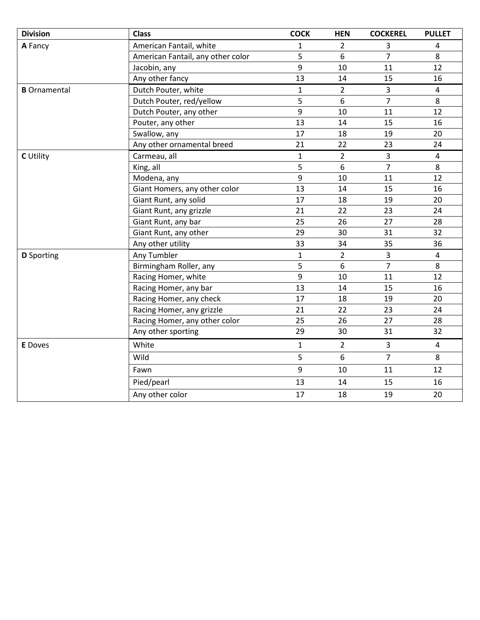| <b>Division</b>     | <b>Class</b>                      | <b>COCK</b>  | <b>HEN</b>     | <b>COCKEREL</b> | <b>PULLET</b>           |
|---------------------|-----------------------------------|--------------|----------------|-----------------|-------------------------|
| A Fancy             | American Fantail, white           | 1            | $\overline{2}$ | 3               | 4                       |
|                     | American Fantail, any other color | 5            | 6              | $\overline{7}$  | 8                       |
|                     | Jacobin, any                      | 9            | 10             | 11              | 12                      |
|                     | Any other fancy                   | 13           | 14             | 15              | 16                      |
| <b>B</b> Ornamental | Dutch Pouter, white               | $\mathbf{1}$ | $\overline{2}$ | $\overline{3}$  | $\overline{\mathbf{4}}$ |
|                     | Dutch Pouter, red/yellow          | 5            | 6              | $\overline{7}$  | 8                       |
|                     | Dutch Pouter, any other           | 9            | 10             | 11              | 12                      |
|                     | Pouter, any other                 | 13           | 14             | 15              | 16                      |
|                     | Swallow, any                      | 17           | 18             | 19              | 20                      |
|                     | Any other ornamental breed        | 21           | 22             | 23              | 24                      |
| <b>C</b> Utility    | Carmeau, all                      | $\mathbf{1}$ | $\overline{2}$ | $\overline{3}$  | 4                       |
|                     | King, all                         | 5            | 6              | $\overline{7}$  | 8                       |
|                     | Modena, any                       | 9            | 10             | 11              | 12                      |
|                     | Giant Homers, any other color     | 13           | 14             | 15              | 16                      |
|                     | Giant Runt, any solid             | 17           | 18             | 19              | 20                      |
|                     | Giant Runt, any grizzle           | 21           | 22             | 23              | 24                      |
|                     | Giant Runt, any bar               | 25           | 26             | 27              | 28                      |
|                     | Giant Runt, any other             | 29           | 30             | 31              | 32                      |
|                     | Any other utility                 | 33           | 34             | 35              | 36                      |
| <b>D</b> Sporting   | Any Tumbler                       | $\mathbf{1}$ | $\overline{2}$ | 3               | 4                       |
|                     | Birmingham Roller, any            | 5            | 6              | $\overline{7}$  | 8                       |
|                     | Racing Homer, white               | 9            | 10             | 11              | 12                      |
|                     | Racing Homer, any bar             | 13           | 14             | 15              | 16                      |
|                     | Racing Homer, any check           | 17           | 18             | 19              | 20                      |
|                     | Racing Homer, any grizzle         | 21           | 22             | 23              | 24                      |
|                     | Racing Homer, any other color     | 25           | 26             | 27              | 28                      |
|                     | Any other sporting                | 29           | 30             | 31              | 32                      |
| <b>E</b> Doves      | White                             | $\mathbf{1}$ | $\overline{2}$ | $\overline{3}$  | $\overline{4}$          |
|                     | Wild                              | 5            | 6              | $\overline{7}$  | 8                       |
|                     | Fawn                              | 9            | 10             | 11              | 12                      |
|                     | Pied/pearl                        | 13           | 14             | 15              | 16                      |
|                     | Any other color                   | 17           | 18             | 19              | 20                      |